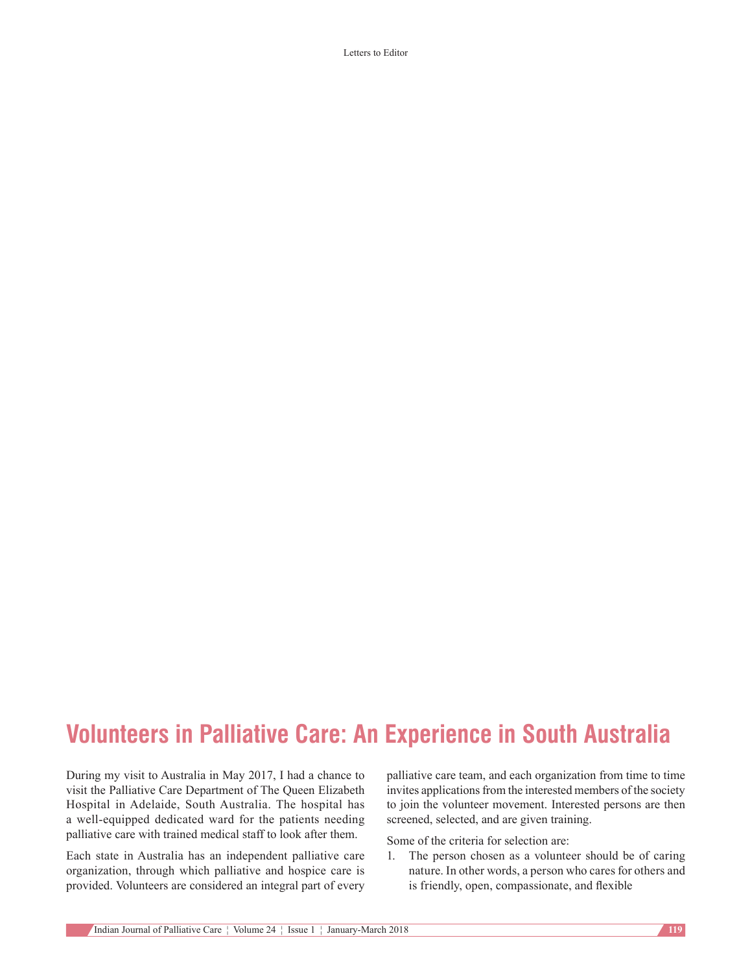Letters to Editor

## **Volunteers in Palliative Care: An Experience in South Australia**

During my visit to Australia in May 2017, I had a chance to visit the Palliative Care Department of The Queen Elizabeth Hospital in Adelaide, South Australia. The hospital has a well-equipped dedicated ward for the patients needing palliative care with trained medical staff to look after them.

Each state in Australia has an independent palliative care organization, through which palliative and hospice care is provided. Volunteers are considered an integral part of every palliative care team, and each organization from time to time invites applications from the interested members of the society to join the volunteer movement. Interested persons are then screened, selected, and are given training.

Some of the criteria for selection are:

1. The person chosen as a volunteer should be of caring nature. In other words, a person who cares for others and is friendly, open, compassionate, and flexible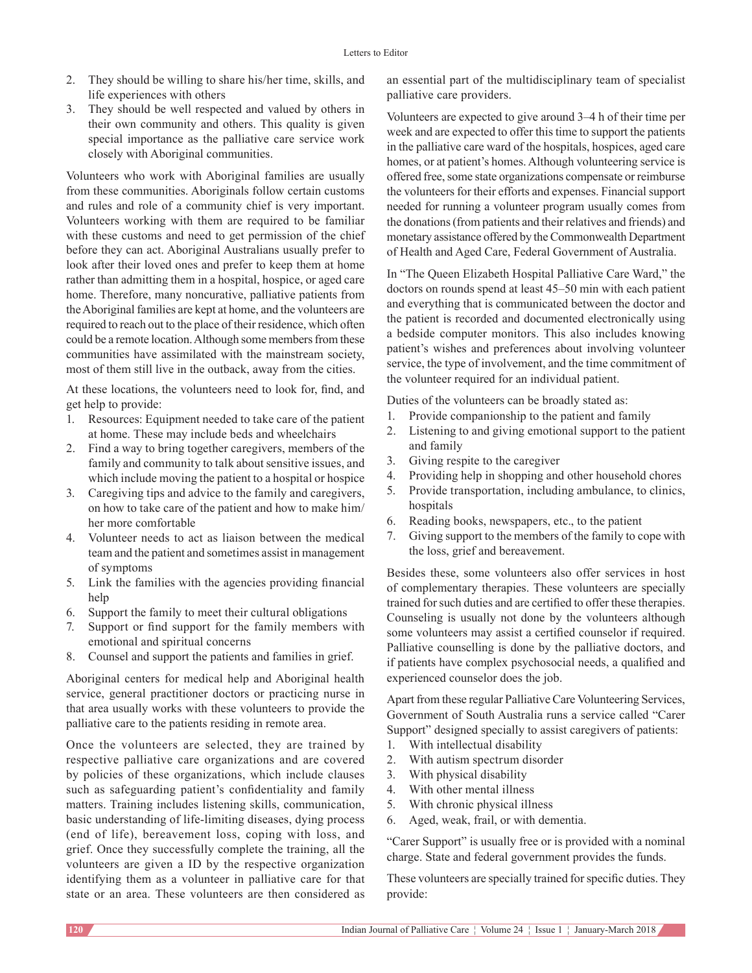- 2. They should be willing to share his/her time, skills, and life experiences with others
- 3. They should be well respected and valued by others in their own community and others. This quality is given special importance as the palliative care service work closely with Aboriginal communities.

Volunteers who work with Aboriginal families are usually from these communities. Aboriginals follow certain customs and rules and role of a community chief is very important. Volunteers working with them are required to be familiar with these customs and need to get permission of the chief before they can act. Aboriginal Australians usually prefer to look after their loved ones and prefer to keep them at home rather than admitting them in a hospital, hospice, or aged care home. Therefore, many noncurative, palliative patients from the Aboriginal families are kept at home, and the volunteers are required to reach out to the place of their residence, which often could be a remote location. Although some members from these communities have assimilated with the mainstream society, most of them still live in the outback, away from the cities.

At these locations, the volunteers need to look for, find, and get help to provide:

- 1. Resources: Equipment needed to take care of the patient at home. These may include beds and wheelchairs
- 2. Find a way to bring together caregivers, members of the family and community to talk about sensitive issues, and which include moving the patient to a hospital or hospice
- 3. Caregiving tips and advice to the family and caregivers, on how to take care of the patient and how to make him/ her more comfortable
- 4. Volunteer needs to act as liaison between the medical team and the patient and sometimes assist in management of symptoms
- 5. Link the families with the agencies providing financial help
- 6. Support the family to meet their cultural obligations
- 7. Support or find support for the family members with emotional and spiritual concerns
- 8. Counsel and support the patients and families in grief.

Aboriginal centers for medical help and Aboriginal health service, general practitioner doctors or practicing nurse in that area usually works with these volunteers to provide the palliative care to the patients residing in remote area.

Once the volunteers are selected, they are trained by respective palliative care organizations and are covered by policies of these organizations, which include clauses such as safeguarding patient's confidentiality and family matters. Training includes listening skills, communication, basic understanding of life-limiting diseases, dying process (end of life), bereavement loss, coping with loss, and grief. Once they successfully complete the training, all the volunteers are given a ID by the respective organization identifying them as a volunteer in palliative care for that state or an area. These volunteers are then considered as

an essential part of the multidisciplinary team of specialist palliative care providers.

Volunteers are expected to give around 3–4 h of their time per week and are expected to offer this time to support the patients in the palliative care ward of the hospitals, hospices, aged care homes, or at patient's homes. Although volunteering service is offered free, some state organizations compensate or reimburse the volunteers for their efforts and expenses. Financial support needed for running a volunteer program usually comes from the donations(from patients and their relatives and friends) and monetary assistance offered by the Commonwealth Department of Health and Aged Care, Federal Government of Australia.

In "The Queen Elizabeth Hospital Palliative Care Ward," the doctors on rounds spend at least 45–50 min with each patient and everything that is communicated between the doctor and the patient is recorded and documented electronically using a bedside computer monitors. This also includes knowing patient's wishes and preferences about involving volunteer service, the type of involvement, and the time commitment of the volunteer required for an individual patient.

Duties of the volunteers can be broadly stated as:

- 1. Provide companionship to the patient and family
- 2. Listening to and giving emotional support to the patient and family
- 3. Giving respite to the caregiver
- 4. Providing help in shopping and other household chores
- 5. Provide transportation, including ambulance, to clinics, hospitals
- 6. Reading books, newspapers, etc., to the patient
- 7. Giving support to the members of the family to cope with the loss, grief and bereavement.

Besides these, some volunteers also offer services in host of complementary therapies. These volunteers are specially trained for such duties and are certified to offer these therapies. Counseling is usually not done by the volunteers although some volunteers may assist a certified counselor if required. Palliative counselling is done by the palliative doctors, and if patients have complex psychosocial needs, a qualified and experienced counselor does the job.

Apart from these regular Palliative Care Volunteering Services, Government of South Australia runs a service called "Carer Support" designed specially to assist caregivers of patients:

- 1. With intellectual disability
- 2. With autism spectrum disorder
- 3. With physical disability
- 4. With other mental illness
- 5. With chronic physical illness
- 6. Aged, weak, frail, or with dementia.

"Carer Support" is usually free or is provided with a nominal charge. State and federal government provides the funds.

These volunteers are specially trained for specific duties. They provide: